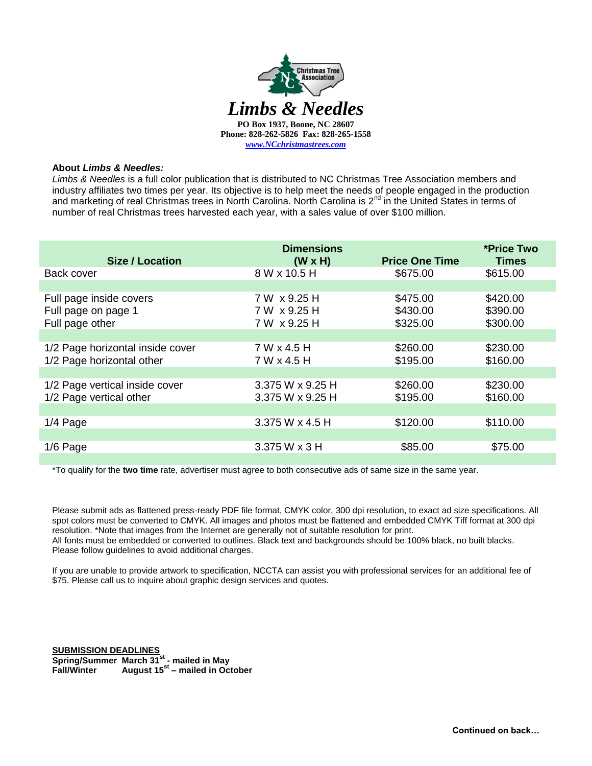

## **About** *Limbs & Needles:*

*Limbs & Needles* is a full color publication that is distributed to NC Christmas Tree Association members and industry affiliates two times per year. Its objective is to help meet the needs of people engaged in the production and marketing of real Christmas trees in North Carolina. North Carolina is  $2^{nd}$  in the United States in terms of number of real Christmas trees harvested each year, with a sales value of over \$100 million.

| Size / Location                                                   | <b>Dimensions</b><br>$(W \times H)$          | <b>Price One Time</b>            | *Price Two<br><b>Times</b>       |
|-------------------------------------------------------------------|----------------------------------------------|----------------------------------|----------------------------------|
| Back cover                                                        | 8 W x 10.5 H                                 | \$675.00                         | \$615.00                         |
|                                                                   |                                              |                                  |                                  |
| Full page inside covers<br>Full page on page 1<br>Full page other | 7 W x 9.25 H<br>7 W x 9.25 H<br>7 W x 9.25 H | \$475.00<br>\$430.00<br>\$325.00 | \$420.00<br>\$390.00<br>\$300.00 |
|                                                                   |                                              |                                  |                                  |
| 1/2 Page horizontal inside cover<br>1/2 Page horizontal other     | 7 W x 4.5 H<br>7 W x 4.5 H                   | \$260.00<br>\$195.00             | \$230.00<br>\$160.00             |
|                                                                   |                                              |                                  |                                  |
| 1/2 Page vertical inside cover<br>1/2 Page vertical other         | 3.375 W x 9.25 H<br>3.375 W x 9.25 H         | \$260.00<br>\$195.00             | \$230.00<br>\$160.00             |
|                                                                   |                                              |                                  |                                  |
| $1/4$ Page                                                        | 3.375 W x 4.5 H                              | \$120.00                         | \$110.00                         |
|                                                                   |                                              |                                  |                                  |
| 1/6 Page                                                          | 3.375 W x 3 H                                | \$85.00                          | \$75.00                          |
|                                                                   |                                              |                                  |                                  |

\*To qualify for the **two time** rate, advertiser must agree to both consecutive ads of same size in the same year.

Please submit ads as flattened press-ready PDF file format, CMYK color, 300 dpi resolution, to exact ad size specifications. All spot colors must be converted to CMYK. All images and photos must be flattened and embedded CMYK Tiff format at 300 dpi resolution. \*Note that images from the Internet are generally not of suitable resolution for print. All fonts must be embedded or converted to outlines. Black text and backgrounds should be 100% black, no built blacks. Please follow guidelines to avoid additional charges.

If you are unable to provide artwork to specification, NCCTA can assist you with professional services for an additional fee of \$75. Please call us to inquire about graphic design services and quotes.

**SUBMISSION DEADLINES Spring/Summer March 31st - mailed in May Fall/Winter August 15st – mailed in October**